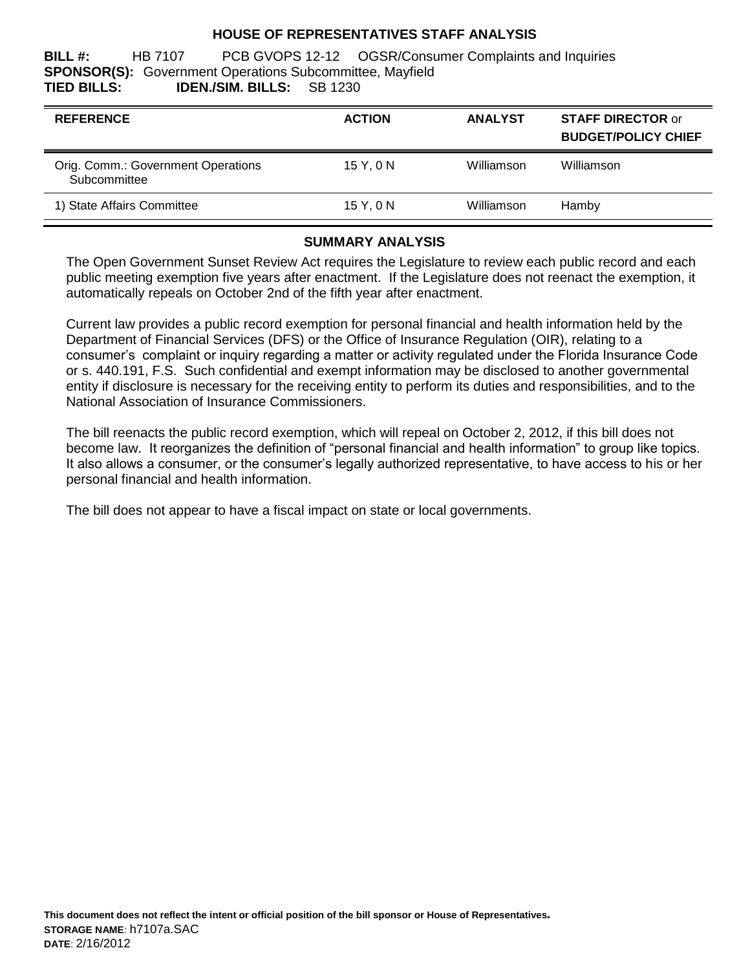### **HOUSE OF REPRESENTATIVES STAFF ANALYSIS**

**BILL #:** HB 7107 PCB GVOPS 12-12 OGSR/Consumer Complaints and Inquiries **SPONSOR(S):** Government Operations Subcommittee, Mayfield **TIED BILLS: IDEN./SIM. BILLS:** SB 1230

| <b>REFERENCE</b>                                   | <b>ACTION</b> | <b>ANALYST</b> | <b>STAFF DIRECTOR or</b><br><b>BUDGET/POLICY CHIEF</b> |
|----------------------------------------------------|---------------|----------------|--------------------------------------------------------|
| Orig. Comm.: Government Operations<br>Subcommittee | 15Y.0N        | Williamson     | Williamson                                             |
| 1) State Affairs Committee                         | 15 Y, 0 N     | Williamson     | Hamby                                                  |

### **SUMMARY ANALYSIS**

The Open Government Sunset Review Act requires the Legislature to review each public record and each public meeting exemption five years after enactment. If the Legislature does not reenact the exemption, it automatically repeals on October 2nd of the fifth year after enactment.

Current law provides a public record exemption for personal financial and health information held by the Department of Financial Services (DFS) or the Office of Insurance Regulation (OIR), relating to a consumer's complaint or inquiry regarding a matter or activity regulated under the Florida Insurance Code or s. 440.191, F.S. Such confidential and exempt information may be disclosed to another governmental entity if disclosure is necessary for the receiving entity to perform its duties and responsibilities, and to the National Association of Insurance Commissioners.

The bill reenacts the public record exemption, which will repeal on October 2, 2012, if this bill does not become law. It reorganizes the definition of "personal financial and health information" to group like topics. It also allows a consumer, or the consumer's legally authorized representative, to have access to his or her personal financial and health information.

The bill does not appear to have a fiscal impact on state or local governments.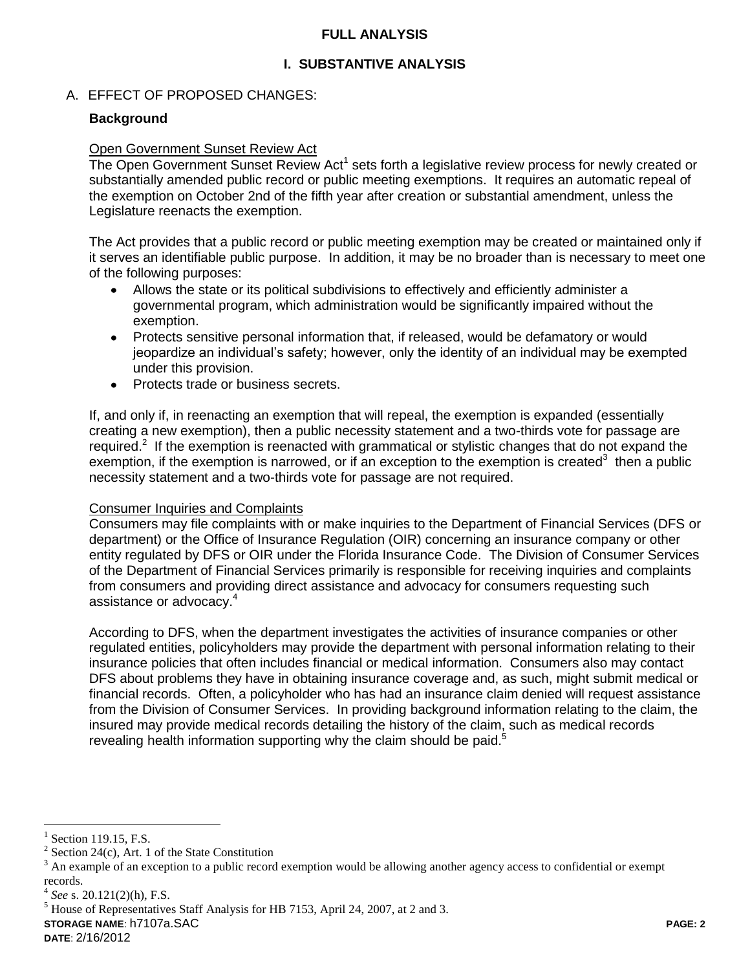### **FULL ANALYSIS**

## **I. SUBSTANTIVE ANALYSIS**

### A. EFFECT OF PROPOSED CHANGES:

### **Background**

#### Open Government Sunset Review Act

The Open Government Sunset Review Act<sup>1</sup> sets forth a legislative review process for newly created or substantially amended public record or public meeting exemptions. It requires an automatic repeal of the exemption on October 2nd of the fifth year after creation or substantial amendment, unless the Legislature reenacts the exemption.

The Act provides that a public record or public meeting exemption may be created or maintained only if it serves an identifiable public purpose. In addition, it may be no broader than is necessary to meet one of the following purposes:

- Allows the state or its political subdivisions to effectively and efficiently administer a governmental program, which administration would be significantly impaired without the exemption.
- Protects sensitive personal information that, if released, would be defamatory or would jeopardize an individual's safety; however, only the identity of an individual may be exempted under this provision.
- Protects trade or business secrets.  $\bullet$

If, and only if, in reenacting an exemption that will repeal, the exemption is expanded (essentially creating a new exemption), then a public necessity statement and a two-thirds vote for passage are required.<sup>2</sup> If the exemption is reenacted with grammatical or stylistic changes that do not expand the exemption, if the exemption is narrowed, or if an exception to the exemption is created<sup>3</sup> then a public necessity statement and a two-thirds vote for passage are not required.

#### Consumer Inquiries and Complaints

Consumers may file complaints with or make inquiries to the Department of Financial Services (DFS or department) or the Office of Insurance Regulation (OIR) concerning an insurance company or other entity regulated by DFS or OIR under the Florida Insurance Code. The Division of Consumer Services of the Department of Financial Services primarily is responsible for receiving inquiries and complaints from consumers and providing direct assistance and advocacy for consumers requesting such assistance or advocacy.<sup>4</sup>

According to DFS, when the department investigates the activities of insurance companies or other regulated entities, policyholders may provide the department with personal information relating to their insurance policies that often includes financial or medical information. Consumers also may contact DFS about problems they have in obtaining insurance coverage and, as such, might submit medical or financial records. Often, a policyholder who has had an insurance claim denied will request assistance from the Division of Consumer Services. In providing background information relating to the claim, the insured may provide medical records detailing the history of the claim, such as medical records revealing health information supporting why the claim should be paid.<sup>5</sup>

 $\overline{a}$ 

<sup>5</sup> House of Representatives Staff Analysis for HB 7153, April 24, 2007, at 2 and 3.

**STORAGE NAME**: h7107a.SAC **PAGE: 2**

<sup>1</sup> Section 119.15, F.S.

 $2^{2}$  Section 24(c), Art. 1 of the State Constitution

<sup>3</sup> An example of an exception to a public record exemption would be allowing another agency access to confidential or exempt records.

<sup>4</sup> *See* s. 20.121(2)(h), F.S.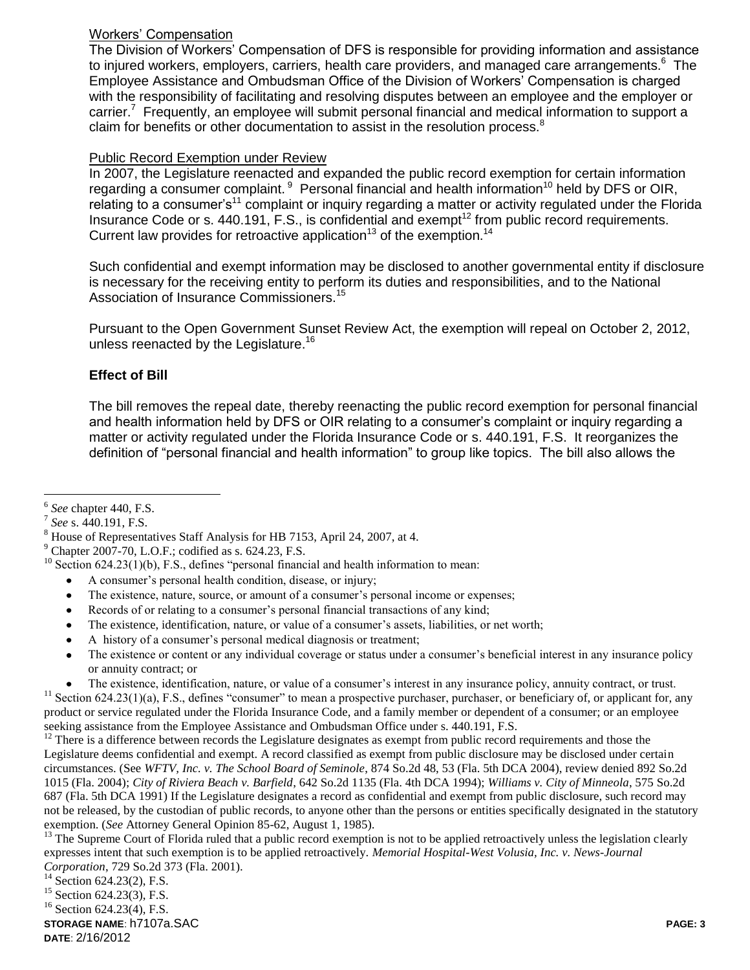### Workers' Compensation

The Division of Workers' Compensation of DFS is responsible for providing information and assistance to injured workers, employers, carriers, health care providers, and managed care arrangements.<sup>6</sup> The Employee Assistance and Ombudsman Office of the Division of Workers' Compensation is charged with the responsibility of facilitating and resolving disputes between an employee and the employer or carrier.<sup>7</sup> Frequently, an employee will submit personal financial and medical information to support a claim for benefits or other documentation to assist in the resolution process.<sup>8</sup>

### Public Record Exemption under Review

In 2007, the Legislature reenacted and expanded the public record exemption for certain information regarding a consumer complaint.  $9$  Personal financial and health information<sup>10</sup> held by DFS or OIR, relating to a consumer's<sup>11</sup> complaint or inquiry regarding a matter or activity regulated under the Florida Insurance Code or s.  $440.191$ , F.S., is confidential and exempt<sup>12</sup> from public record requirements. Current law provides for retroactive application<sup>13</sup> of the exemption.<sup>14</sup>

Such confidential and exempt information may be disclosed to another governmental entity if disclosure is necessary for the receiving entity to perform its duties and responsibilities, and to the National Association of Insurance Commissioners.<sup>15</sup>

Pursuant to the Open Government Sunset Review Act, the exemption will repeal on October 2, 2012, unless reenacted by the Legislature.<sup>16</sup>

# **Effect of Bill**

The bill removes the repeal date, thereby reenacting the public record exemption for personal financial and health information held by DFS or OIR relating to a consumer's complaint or inquiry regarding a matter or activity regulated under the Florida Insurance Code or s. 440.191, F.S. It reorganizes the definition of "personal financial and health information" to group like topics. The bill also allows the

- A consumer's personal health condition, disease, or injury;
- The existence, nature, source, or amount of a consumer's personal income or expenses;
- Records of or relating to a consumer's personal financial transactions of any kind;  $\bullet$
- The existence, identification, nature, or value of a consumer's assets, liabilities, or net worth;
- A history of a consumer's personal medical diagnosis or treatment;
- The existence or content or any individual coverage or status under a consumer's beneficial interest in any insurance policy  $\bullet$ or annuity contract; or
- The existence, identification, nature, or value of a consumer's interest in any insurance policy, annuity contract, or trust.  $11$  Section 624.23(1)(a), F.S., defines "consumer" to mean a prospective purchaser, purchaser, or beneficiary of, or applicant for, any product or service regulated under the Florida Insurance Code, and a family member or dependent of a consumer; or an employee

seeking assistance from the Employee Assistance and Ombudsman Office under s. 440.191, F.S.

 $12$  There is a difference between records the Legislature designates as exempt from public record requirements and those the Legislature deems confidential and exempt. A record classified as exempt from public disclosure may be disclosed under certain circumstances. (See *WFTV, Inc. v. The School Board of Seminole*, 874 So.2d 48, 53 (Fla. 5th DCA 2004), review denied 892 So.2d 1015 (Fla. 2004); *City of Riviera Beach v. Barfield*, 642 So.2d 1135 (Fla. 4th DCA 1994); *Williams v. City of Minneola*, 575 So.2d 687 (Fla. 5th DCA 1991) If the Legislature designates a record as confidential and exempt from public disclosure, such record may not be released, by the custodian of public records, to anyone other than the persons or entities specifically designated in the statutory exemption. (*See* Attorney General Opinion 85-62, August 1, 1985).

<sup>13</sup> The Supreme Court of Florida ruled that a public record exemption is not to be applied retroactively unless the legislation clearly expresses intent that such exemption is to be applied retroactively. *Memorial Hospital-West Volusia, Inc. v. News-Journal Corporation*, 729 So.2d 373 (Fla. 2001).

<sup>16</sup> Section 624.23(4), F.S.

**STORAGE NAME**: h7107a.SAC **PAGE: 3 DATE**: 2/16/2012

 $\overline{a}$ 6 *See* chapter 440, F.S.

<sup>7</sup> *See* s. 440.191, F.S.

 $8$  House of Representatives Staff Analysis for HB 7153, April 24, 2007, at 4.

 $9$  Chapter 2007-70, L.O.F.; codified as s. 624.23, F.S.

 $10$  Section 624.23(1)(b), F.S., defines "personal financial and health information to mean:

 $14$  Section 624.23(2), F.S.

 $15$  Section 624.23(3), F.S.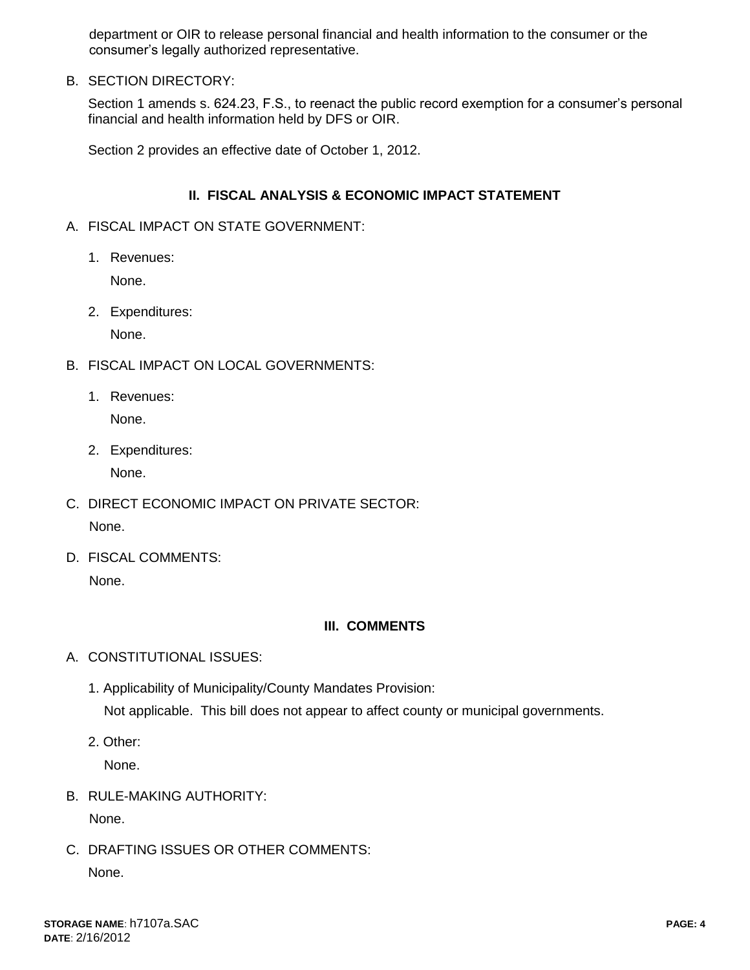department or OIR to release personal financial and health information to the consumer or the consumer's legally authorized representative.

B. SECTION DIRECTORY:

Section 1 amends s. 624.23, F.S., to reenact the public record exemption for a consumer's personal financial and health information held by DFS or OIR.

Section 2 provides an effective date of October 1, 2012.

### **II. FISCAL ANALYSIS & ECONOMIC IMPACT STATEMENT**

- A. FISCAL IMPACT ON STATE GOVERNMENT:
	- 1. Revenues:

None.

2. Expenditures:

None.

- B. FISCAL IMPACT ON LOCAL GOVERNMENTS:
	- 1. Revenues:

None.

2. Expenditures:

None.

- C. DIRECT ECONOMIC IMPACT ON PRIVATE SECTOR: None.
- D. FISCAL COMMENTS: None.

# **III. COMMENTS**

- A. CONSTITUTIONAL ISSUES:
	- 1. Applicability of Municipality/County Mandates Provision: Not applicable. This bill does not appear to affect county or municipal governments.
	- 2. Other:

None.

B. RULE-MAKING AUTHORITY:

None.

C. DRAFTING ISSUES OR OTHER COMMENTS: None.